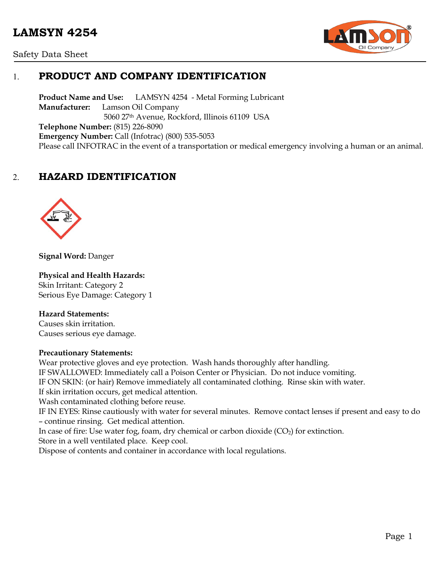



# 1. **PRODUCT AND COMPANY IDENTIFICATION**

**Product Name and Use:** LAMSYN 4254 - Metal Forming Lubricant **Manufacturer:** Lamson Oil Company 5060 27th Avenue, Rockford, Illinois 61109 USA **Telephone Number:** (815) 226-8090 **Emergency Number:** Call (Infotrac) (800) 535-5053 Please call INFOTRAC in the event of a transportation or medical emergency involving a human or an animal.

# 2. **HAZARD IDENTIFICATION**



**Signal Word:** Danger

#### **Physical and Health Hazards:**

Skin Irritant: Category 2 Serious Eye Damage: Category 1

#### **Hazard Statements:**

Causes skin irritation. Causes serious eye damage.

#### **Precautionary Statements:**

Wear protective gloves and eye protection. Wash hands thoroughly after handling. IF SWALLOWED: Immediately call a Poison Center or Physician. Do not induce vomiting. IF ON SKIN: (or hair) Remove immediately all contaminated clothing. Rinse skin with water. If skin irritation occurs, get medical attention. Wash contaminated clothing before reuse. IF IN EYES: Rinse cautiously with water for several minutes. Remove contact lenses if present and easy to do – continue rinsing. Get medical attention. In case of fire: Use water fog, foam, dry chemical or carbon dioxide  $(CO<sub>2</sub>)$  for extinction. Store in a well ventilated place. Keep cool. Dispose of contents and container in accordance with local regulations.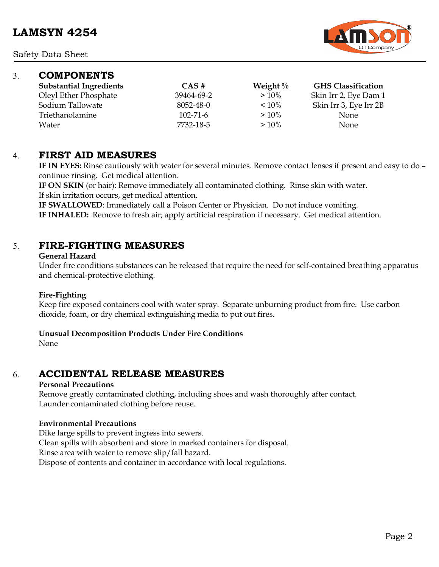

### 3. **COMPONENTS**

| <b>Substantial Ingredients</b> | $\overline{CAS}$ # | Weight $\%$ | <b>GHS Classification</b> |
|--------------------------------|--------------------|-------------|---------------------------|
| Oleyl Ether Phosphate          | 39464-69-2         | $>10\%$     | Skin Irr 2, Eye Dam 1     |
| Sodium Tallowate               | 8052-48-0          | $< 10\%$    | Skin Irr 3, Eye Irr 2B    |
| Triethanolamine                | $102 - 71 - 6$     | $>10\%$     | <b>None</b>               |
| Water                          | 7732-18-5          | $>10\%$     | None                      |

### 4. **FIRST AID MEASURES**

**IF IN EYES:** Rinse cautiously with water for several minutes. Remove contact lenses if present and easy to do – continue rinsing. Get medical attention.

**IF ON SKIN** (or hair): Remove immediately all contaminated clothing. Rinse skin with water. If skin irritation occurs, get medical attention.

**IF SWALLOWED**: Immediately call a Poison Center or Physician. Do not induce vomiting. **IF INHALED:** Remove to fresh air; apply artificial respiration if necessary. Get medical attention.

# 5. **FIRE-FIGHTING MEASURES**

#### **General Hazard**

Under fire conditions substances can be released that require the need for self-contained breathing apparatus and chemical-protective clothing.

### **Fire-Fighting**

Keep fire exposed containers cool with water spray. Separate unburning product from fire. Use carbon dioxide, foam, or dry chemical extinguishing media to put out fires.

#### **Unusual Decomposition Products Under Fire Conditions**

None

# 6. **ACCIDENTAL RELEASE MEASURES**

### **Personal Precautions**

Remove greatly contaminated clothing, including shoes and wash thoroughly after contact. Launder contaminated clothing before reuse.

### **Environmental Precautions**

Dike large spills to prevent ingress into sewers. Clean spills with absorbent and store in marked containers for disposal. Rinse area with water to remove slip/fall hazard. Dispose of contents and container in accordance with local regulations.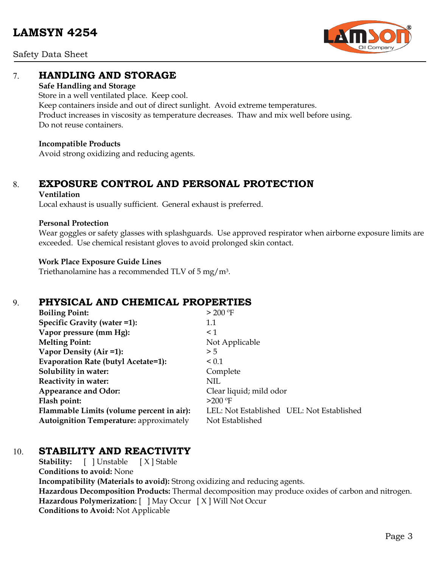Safety Data Sheet



# 7. **HANDLING AND STORAGE**

#### **Safe Handling and Storage**

Store in a well ventilated place. Keep cool. Keep containers inside and out of direct sunlight. Avoid extreme temperatures. Product increases in viscosity as temperature decreases. Thaw and mix well before using. Do not reuse containers.

#### **Incompatible Products**

Avoid strong oxidizing and reducing agents.

# 8. **EXPOSURE CONTROL AND PERSONAL PROTECTION**

#### **Ventilation**

Local exhaust is usually sufficient. General exhaust is preferred.

#### **Personal Protection**

Wear goggles or safety glasses with splashguards. Use approved respirator when airborne exposure limits are exceeded. Use chemical resistant gloves to avoid prolonged skin contact.

#### **Work Place Exposure Guide Lines**

Triethanolamine has a recommended TLV of 5 mg/m3.

# 9. **PHYSICAL AND CHEMICAL PROPERTIES**

| <b>Boiling Point:</b>                          | $> 200$ °F                                |
|------------------------------------------------|-------------------------------------------|
| Specific Gravity (water =1):                   | 1.1                                       |
| Vapor pressure (mm Hg):                        | $\leq$ 1                                  |
| <b>Melting Point:</b>                          | Not Applicable                            |
| Vapor Density (Air =1):                        | > 5                                       |
| Evaporation Rate (butyl Acetate=1):            | ${}_{0.1}$                                |
| Solubility in water:                           | Complete                                  |
| Reactivity in water:                           | NIL                                       |
| <b>Appearance and Odor:</b>                    | Clear liquid; mild odor                   |
| Flash point:                                   | $>200$ °F                                 |
| Flammable Limits (volume percent in air):      | LEL: Not Established UEL: Not Established |
| <b>Autoignition Temperature:</b> approximately | Not Established                           |

### 10. **STABILITY AND REACTIVITY**

**Stability:** [ ] Unstable [ X ] Stable **Conditions to avoid:** None **Incompatibility (Materials to avoid):** Strong oxidizing and reducing agents. **Hazardous Decomposition Products:** Thermal decomposition may produce oxides of carbon and nitrogen. **Hazardous Polymerization:** [ ] May Occur [ X ] Will Not Occur **Conditions to Avoid:** Not Applicable